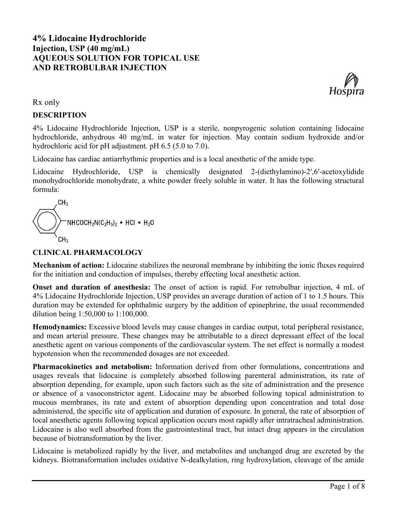# **4% Lidocaine Hydrochloride Injection, USP (40 mg/mL) AQUEOUS SOLUTION FOR TOPICAL USE AND RETROBULBAR INJECTION**



Rx only

#### **DESCRIPTION**

4% Lidocaine Hydrochloride Injection, USP is a sterile, nonpyrogenic solution containing lidocaine hydrochloride, anhydrous 40 mg/mL in water for injection. May contain sodium hydroxide and/or hydrochloric acid for pH adjustment. pH 6.5 (5.0 to 7.0).

Lidocaine has cardiac antiarrhythmic properties and is a local anesthetic of the amide type.

Lidocaine Hydrochloride, USP is chemically designated 2-(diethylamino)-2′,6′-acetoxylidide monohydrochloride monohydrate, a white powder freely soluble in water. It has the following structural formula:



## **CLINICAL PHARMACOLOGY**

**Mechanism of action:** Lidocaine stabilizes the neuronal membrane by inhibiting the ionic fluxes required for the initiation and conduction of impulses, thereby effecting local anesthetic action.

**Onset and duration of anesthesia:** The onset of action is rapid. For retrobulbar injection, 4 mL of 4% Lidocaine Hydrochloride Injection, USP provides an average duration of action of 1 to 1.5 hours. This duration may be extended for ophthalmic surgery by the addition of epinephrine, the usual recommended dilution being 1:50,000 to 1:100,000.

**Hemodynamics:** Excessive blood levels may cause changes in cardiac output, total peripheral resistance, and mean arterial pressure. These changes may be attributable to a direct depressant effect of the local anesthetic agent on various components of the cardiovascular system. The net effect is normally a modest hypotension when the recommended dosages are not exceeded.

**Pharmacokinetics and metabolism:** Information derived from other formulations, concentrations and usages reveals that lidocaine is completely absorbed following parenteral administration, its rate of absorption depending, for example, upon such factors such as the site of administration and the presence or absence of a vasoconstrictor agent. Lidocaine may be absorbed following topical administration to mucous membranes, its rate and extent of absorption depending upon concentration and total dose administered, the specific site of application and duration of exposure. In general, the rate of absorption of local anesthetic agents following topical application occurs most rapidly after intratracheal administration. Lidocaine is also well absorbed from the gastrointestinal tract, but intact drug appears in the circulation because of biotransformation by the liver.

Lidocaine is metabolized rapidly by the liver, and metabolites and unchanged drug are excreted by the kidneys. Biotransformation includes oxidative N-dealkylation, ring hydroxylation, cleavage of the amide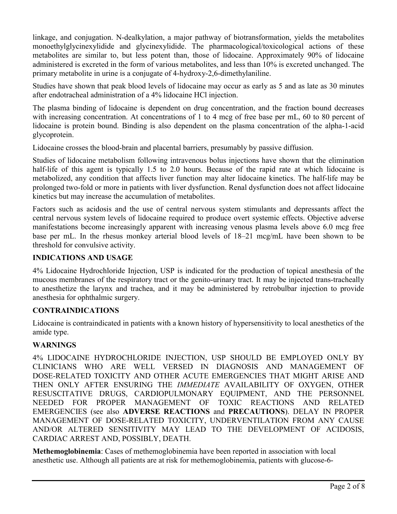linkage, and conjugation. N-dealkylation, a major pathway of biotransformation, yields the metabolites monoethylglycinexylidide and glycinexylidide. The pharmacological/toxicological actions of these metabolites are similar to, but less potent than, those of lidocaine. Approximately 90% of lidocaine administered is excreted in the form of various metabolites, and less than 10% is excreted unchanged. The primary metabolite in urine is a conjugate of 4-hydroxy-2,6-dimethylaniline.

Studies have shown that peak blood levels of lidocaine may occur as early as 5 and as late as 30 minutes after endotracheal administration of a 4% lidocaine HCl injection.

The plasma binding of lidocaine is dependent on drug concentration, and the fraction bound decreases with increasing concentration. At concentrations of 1 to 4 mcg of free base per mL, 60 to 80 percent of lidocaine is protein bound. Binding is also dependent on the plasma concentration of the alpha-1-acid glycoprotein.

Lidocaine crosses the blood-brain and placental barriers, presumably by passive diffusion.

Studies of lidocaine metabolism following intravenous bolus injections have shown that the elimination half-life of this agent is typically 1.5 to 2.0 hours. Because of the rapid rate at which lidocaine is metabolized, any condition that affects liver function may alter lidocaine kinetics. The half-life may be prolonged two-fold or more in patients with liver dysfunction. Renal dysfunction does not affect lidocaine kinetics but may increase the accumulation of metabolites.

Factors such as acidosis and the use of central nervous system stimulants and depressants affect the central nervous system levels of lidocaine required to produce overt systemic effects. Objective adverse manifestations become increasingly apparent with increasing venous plasma levels above 6.0 mcg free base per mL. In the rhesus monkey arterial blood levels of 18–21 mcg/mL have been shown to be threshold for convulsive activity.

#### **INDICATIONS AND USAGE**

4% Lidocaine Hydrochloride Injection, USP is indicated for the production of topical anesthesia of the mucous membranes of the respiratory tract or the genito-urinary tract. It may be injected trans-tracheally to anesthetize the larynx and trachea, and it may be administered by retrobulbar injection to provide anesthesia for ophthalmic surgery.

#### **CONTRAINDICATIONS**

Lidocaine is contraindicated in patients with a known history of hypersensitivity to local anesthetics of the amide type.

## **WARNINGS**

4% LIDOCAINE HYDROCHLORIDE INJECTION, USP SHOULD BE EMPLOYED ONLY BY CLINICIANS WHO ARE WELL VERSED IN DIAGNOSIS AND MANAGEMENT OF DOSE-RELATED TOXICITY AND OTHER ACUTE EMERGENCIES THAT MIGHT ARISE AND THEN ONLY AFTER ENSURING THE *IMMEDIATE* AVAILABILITY OF OXYGEN, OTHER RESUSCITATIVE DRUGS, CARDIOPULMONARY EQUIPMENT, AND THE PERSONNEL NEEDED FOR PROPER MANAGEMENT OF TOXIC REACTIONS AND RELATED EMERGENCIES (see also **ADVERSE REACTIONS** and **PRECAUTIONS**). DELAY IN PROPER MANAGEMENT OF DOSE-RELATED TOXICITY, UNDERVENTILATION FROM ANY CAUSE AND/OR ALTERED SENSITIVITY MAY LEAD TO THE DEVELOPMENT OF ACIDOSIS, CARDIAC ARREST AND, POSSIBLY, DEATH.

**Methemoglobinemia**: Cases of methemoglobinemia have been reported in association with local anesthetic use. Although all patients are at risk for methemoglobinemia, patients with glucose-6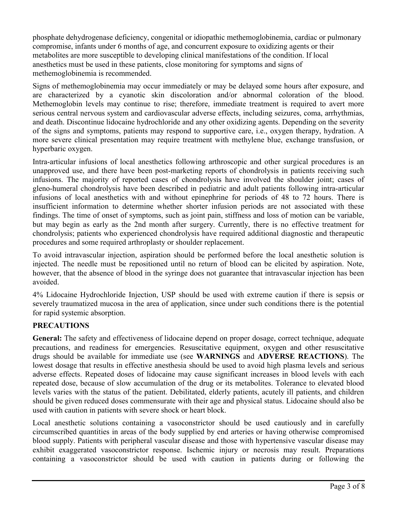phosphate dehydrogenase deficiency, congenital or idiopathic methemoglobinemia, cardiac or pulmonary compromise, infants under 6 months of age, and concurrent exposure to oxidizing agents or their metabolites are more susceptible to developing clinical manifestations of the condition. If local anesthetics must be used in these patients, close monitoring for symptoms and signs of methemoglobinemia is recommended.

Signs of methemoglobinemia may occur immediately or may be delayed some hours after exposure, and are characterized by a cyanotic skin discoloration and/or abnormal coloration of the blood. Methemoglobin levels may continue to rise; therefore, immediate treatment is required to avert more serious central nervous system and cardiovascular adverse effects, including seizures, coma, arrhythmias, and death. Discontinue lidocaine hydrochloride and any other oxidizing agents. Depending on the severity of the signs and symptoms, patients may respond to supportive care, i.e., oxygen therapy, hydration. A more severe clinical presentation may require treatment with methylene blue, exchange transfusion, or hyperbaric oxygen.

Intra-articular infusions of local anesthetics following arthroscopic and other surgical procedures is an unapproved use, and there have been post-marketing reports of chondrolysis in patients receiving such infusions. The majority of reported cases of chondrolysis have involved the shoulder joint; cases of gleno-humeral chondrolysis have been described in pediatric and adult patients following intra-articular infusions of local anesthetics with and without epinephrine for periods of 48 to 72 hours. There is insufficient information to determine whether shorter infusion periods are not associated with these findings. The time of onset of symptoms, such as joint pain, stiffness and loss of motion can be variable, but may begin as early as the 2nd month after surgery. Currently, there is no effective treatment for chondrolysis; patients who experienced chondrolysis have required additional diagnostic and therapeutic procedures and some required arthroplasty or shoulder replacement.

To avoid intravascular injection, aspiration should be performed before the local anesthetic solution is injected. The needle must be repositioned until no return of blood can be elicited by aspiration. Note, however, that the absence of blood in the syringe does not guarantee that intravascular injection has been avoided.

4% Lidocaine Hydrochloride Injection, USP should be used with extreme caution if there is sepsis or severely traumatized mucosa in the area of application, since under such conditions there is the potential for rapid systemic absorption.

## **PRECAUTIONS**

**General:** The safety and effectiveness of lidocaine depend on proper dosage, correct technique, adequate precautions, and readiness for emergencies. Resuscitative equipment, oxygen and other resuscitative drugs should be available for immediate use (see **WARNINGS** and **ADVERSE REACTIONS**). The lowest dosage that results in effective anesthesia should be used to avoid high plasma levels and serious adverse effects. Repeated doses of lidocaine may cause significant increases in blood levels with each repeated dose, because of slow accumulation of the drug or its metabolites. Tolerance to elevated blood levels varies with the status of the patient. Debilitated, elderly patients, acutely ill patients, and children should be given reduced doses commensurate with their age and physical status. Lidocaine should also be used with caution in patients with severe shock or heart block.

Local anesthetic solutions containing a vasoconstrictor should be used cautiously and in carefully circumscribed quantities in areas of the body supplied by end arteries or having otherwise compromised blood supply. Patients with peripheral vascular disease and those with hypertensive vascular disease may exhibit exaggerated vasoconstrictor response. Ischemic injury or necrosis may result. Preparations containing a vasoconstrictor should be used with caution in patients during or following the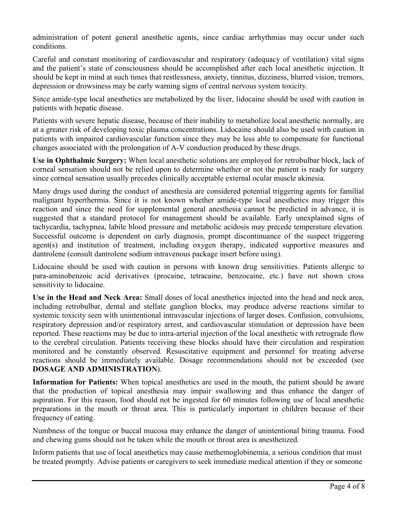administration of potent general anesthetic agents, since cardiac arrhythmias may occur under such conditions.

Careful and constant monitoring of cardiovascular and respiratory (adequacy of ventilation) vital signs and the patient's state of consciousness should be accomplished after each local anesthetic injection. It should be kept in mind at such times that restlessness, anxiety, tinnitus, dizziness, blurred vision, tremors, depression or drowsiness may be early warning signs of central nervous system toxicity.

Since amide-type local anesthetics are metabolized by the liver, lidocaine should be used with caution in patients with hepatic disease.

Patients with severe hepatic disease, because of their inability to metabolize local anesthetic normally, are at a greater risk of developing toxic plasma concentrations. Lidocaine should also be used with caution in patients with impaired cardiovascular function since they may be less able to compensate for functional changes associated with the prolongation of A-V conduction produced by these drugs.

**Use in Ophthalmic Surgery:** When local anesthetic solutions are employed for retrobulbar block, lack of corneal sensation should not be relied upon to determine whether or not the patient is ready for surgery since corneal sensation usually precedes clinically acceptable external ocular muscle akinesia.

Many drugs used during the conduct of anesthesia are considered potential triggering agents for familial malignant hyperthermia. Since it is not known whether amide-type local anesthetics may trigger this reaction and since the need for supplemental general anesthesia cannot be predicted in advance, it is suggested that a standard protocol for management should be available. Early unexplained signs of tachycardia, tachypnea, labile blood pressure and metabolic acidosis may precede temperature elevation. Successful outcome is dependent on early diagnosis, prompt discontinuance of the suspect triggering agent(s) and institution of treatment, including oxygen therapy, indicated supportive measures and dantrolene (consult dantrolene sodium intravenous package insert before using).

Lidocaine should be used with caution in persons with known drug sensitivities. Patients allergic to para-aminobenzoic acid derivatives (procaine, tetracaine, benzocaine, etc.) have not shown cross sensitivity to lidocaine.

**Use in the Head and Neck Area:** Small doses of local anesthetics injected into the head and neck area, including retrobulbar, dental and stellate ganglion blocks, may produce adverse reactions similar to systemic toxicity seen with unintentional intravascular injections of larger doses. Confusion, convulsions, respiratory depression and/or respiratory arrest, and cardiovascular stimulation or depression have been reported. These reactions may be due to intra-arterial injection of the local anesthetic with retrograde flow to the cerebral circulation. Patients receiving these blocks should have their circulation and respiration monitored and be constantly observed. Resuscitative equipment and personnel for treating adverse reactions should be immediately available. Dosage recommendations should not be exceeded (see **DOSAGE AND ADMINISTRATION**).

**Information for Patients:** When topical anesthetics are used in the mouth, the patient should be aware that the production of topical anesthesia may impair swallowing and thus enhance the danger of aspiration. For this reason, food should not be ingested for 60 minutes following use of local anesthetic preparations in the mouth or throat area. This is particularly important in children because of their frequency of eating.

Numbness of the tongue or buccal mucosa may enhance the danger of unintentional biting trauma. Food and chewing gums should not be taken while the mouth or throat area is anesthetized.

Inform patients that use of local anesthetics may cause methemoglobinemia, a serious condition that must be treated promptly. Advise patients or caregivers to seek immediate medical attention if they or someone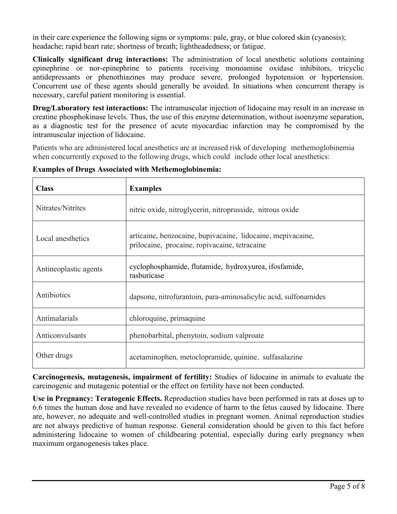in their care experience the following signs or symptoms: pale, gray, or blue colored skin (cyanosis); headache; rapid heart rate; shortness of breath; lightheadedness; or fatigue.

**Clinically significant drug interactions:** The administration of local anesthetic solutions containing epinephrine or nor-epinephrine to patients receiving monoamine oxidase inhibitors, tricyclic antidepressants or phenothiazines may produce severe, prolonged hypotension or hypertension. Concurrent use of these agents should generally be avoided. In situations when concurrent therapy is necessary, careful patient monitoring is essential.

**Drug/Laboratory test interactions:** The intramuscular injection of lidocaine may result in an increase in creatine phosphokinase levels. Thus, the use of this enzyme determination, without isoenzyme separation, as a diagnostic test for the presence of acute myocardiac infarction may be compromised by the intramuscular injection of lidocaine.

Patients who are administered local anesthetics are at increased risk of developing methemoglobinemia when concurrently exposed to the following drugs, which could include other local anesthetics:

| <b>Class</b>          | <b>Examples</b>                                                                                              |
|-----------------------|--------------------------------------------------------------------------------------------------------------|
| Nitrates/Nitrites     | nitric oxide, nitroglycerin, nitroprusside, nitrous oxide                                                    |
| Local anesthetics     | articaine, benzocaine, bupivacaine, lidocaine, mepivacaine,<br>prilocaine, procaine, ropivacaine, tetracaine |
| Antineoplastic agents | cyclophosphamide, flutamide, hydroxyurea, ifosfamide,<br>rasburicase                                         |
| Antibiotics           | dapsone, nitrofurantoin, para-aminosalicylic acid, sulfonamides                                              |
| Antimalarials         | chloroquine, primaquine                                                                                      |
| Anticonvulsants       | phenobarbital, phenytoin, sodium valproate                                                                   |
| Other drugs           | acetaminophen, metoclopramide, quinine, sulfasalazine                                                        |

**Examples of Drugs Associated with Methemoglobinemia:**

**Carcinogenesis, mutagenesis, impairment of fertility:** Studies of lidocaine in animals to evaluate the carcinogenic and mutagenic potential or the effect on fertility have not been conducted.

**Use in Pregnancy: Teratogenic Effects.** Reproduction studies have been performed in rats at doses up to 6.6 times the human dose and have revealed no evidence of harm to the fetus caused by lidocaine. There are, however, no adequate and well-controlled studies in pregnant women. Animal reproduction studies are not always predictive of human response. General consideration should be given to this fact before administering lidocaine to women of childbearing potential, especially during early pregnancy when maximum organogenesis takes place.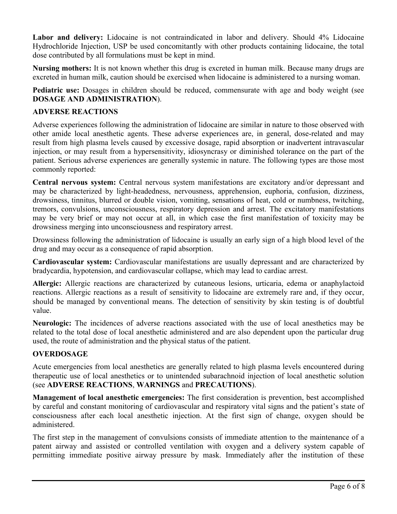**Labor and delivery:** Lidocaine is not contraindicated in labor and delivery. Should 4% Lidocaine Hydrochloride Injection, USP be used concomitantly with other products containing lidocaine, the total dose contributed by all formulations must be kept in mind.

**Nursing mothers:** It is not known whether this drug is excreted in human milk. Because many drugs are excreted in human milk, caution should be exercised when lidocaine is administered to a nursing woman.

**Pediatric use:** Dosages in children should be reduced, commensurate with age and body weight (see **DOSAGE AND ADMINISTRATION**).

### **ADVERSE REACTIONS**

Adverse experiences following the administration of lidocaine are similar in nature to those observed with other amide local anesthetic agents. These adverse experiences are, in general, dose-related and may result from high plasma levels caused by excessive dosage, rapid absorption or inadvertent intravascular injection, or may result from a hypersensitivity, idiosyncrasy or diminished tolerance on the part of the patient. Serious adverse experiences are generally systemic in nature. The following types are those most commonly reported:

**Central nervous system:** Central nervous system manifestations are excitatory and/or depressant and may be characterized by light-headedness, nervousness, apprehension, euphoria, confusion, dizziness, drowsiness, tinnitus, blurred or double vision, vomiting, sensations of heat, cold or numbness, twitching, tremors, convulsions, unconsciousness, respiratory depression and arrest. The excitatory manifestations may be very brief or may not occur at all, in which case the first manifestation of toxicity may be drowsiness merging into unconsciousness and respiratory arrest.

Drowsiness following the administration of lidocaine is usually an early sign of a high blood level of the drug and may occur as a consequence of rapid absorption.

**Cardiovascular system:** Cardiovascular manifestations are usually depressant and are characterized by bradycardia, hypotension, and cardiovascular collapse, which may lead to cardiac arrest.

**Allergic:** Allergic reactions are characterized by cutaneous lesions, urticaria, edema or anaphylactoid reactions. Allergic reactions as a result of sensitivity to lidocaine are extremely rare and, if they occur, should be managed by conventional means. The detection of sensitivity by skin testing is of doubtful value.

**Neurologic:** The incidences of adverse reactions associated with the use of local anesthetics may be related to the total dose of local anesthetic administered and are also dependent upon the particular drug used, the route of administration and the physical status of the patient.

## **OVERDOSAGE**

Acute emergencies from local anesthetics are generally related to high plasma levels encountered during therapeutic use of local anesthetics or to unintended subarachnoid injection of local anesthetic solution (see **ADVERSE REACTIONS**, **WARNINGS** and **PRECAUTIONS**).

**Management of local anesthetic emergencies:** The first consideration is prevention, best accomplished by careful and constant monitoring of cardiovascular and respiratory vital signs and the patient's state of consciousness after each local anesthetic injection. At the first sign of change, oxygen should be administered.

The first step in the management of convulsions consists of immediate attention to the maintenance of a patent airway and assisted or controlled ventilation with oxygen and a delivery system capable of permitting immediate positive airway pressure by mask. Immediately after the institution of these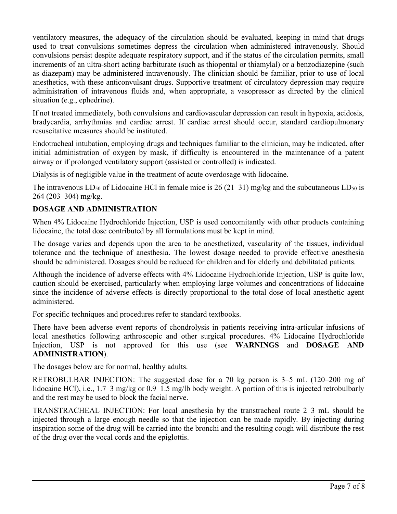ventilatory measures, the adequacy of the circulation should be evaluated, keeping in mind that drugs used to treat convulsions sometimes depress the circulation when administered intravenously. Should convulsions persist despite adequate respiratory support, and if the status of the circulation permits, small increments of an ultra-short acting barbiturate (such as thiopental or thiamylal) or a benzodiazepine (such as diazepam) may be administered intravenously. The clinician should be familiar, prior to use of local anesthetics, with these anticonvulsant drugs. Supportive treatment of circulatory depression may require administration of intravenous fluids and, when appropriate, a vasopressor as directed by the clinical situation (e.g., ephedrine).

If not treated immediately, both convulsions and cardiovascular depression can result in hypoxia, acidosis, bradycardia, arrhythmias and cardiac arrest. If cardiac arrest should occur, standard cardiopulmonary resuscitative measures should be instituted.

Endotracheal intubation, employing drugs and techniques familiar to the clinician, may be indicated, after initial administration of oxygen by mask, if difficulty is encountered in the maintenance of a patent airway or if prolonged ventilatory support (assisted or controlled) is indicated.

Dialysis is of negligible value in the treatment of acute overdosage with lidocaine.

The intravenous  $LD_{50}$  of Lidocaine HCl in female mice is 26 (21–31) mg/kg and the subcutaneous  $LD_{50}$  is 264 (203–304) mg/kg.

# **DOSAGE AND ADMINISTRATION**

When 4% Lidocaine Hydrochloride Injection, USP is used concomitantly with other products containing lidocaine, the total dose contributed by all formulations must be kept in mind.

The dosage varies and depends upon the area to be anesthetized, vascularity of the tissues, individual tolerance and the technique of anesthesia. The lowest dosage needed to provide effective anesthesia should be administered. Dosages should be reduced for children and for elderly and debilitated patients.

Although the incidence of adverse effects with 4% Lidocaine Hydrochloride Injection, USP is quite low, caution should be exercised, particularly when employing large volumes and concentrations of lidocaine since the incidence of adverse effects is directly proportional to the total dose of local anesthetic agent administered.

For specific techniques and procedures refer to standard textbooks.

There have been adverse event reports of chondrolysis in patients receiving intra-articular infusions of local anesthetics following arthroscopic and other surgical procedures. 4% Lidocaine Hydrochloride Injection, USP is not approved for this use (see **WARNINGS** and **DOSAGE AND ADMINISTRATION**).

The dosages below are for normal, healthy adults.

RETROBULBAR INJECTION: The suggested dose for a 70 kg person is 3–5 mL (120–200 mg of lidocaine HCl), i.e., 1.7–3 mg/kg or 0.9–1.5 mg/lb body weight. A portion of this is injected retrobulbarly and the rest may be used to block the facial nerve.

TRANSTRACHEAL INJECTION: For local anesthesia by the transtracheal route 2–3 mL should be injected through a large enough needle so that the injection can be made rapidly. By injecting during inspiration some of the drug will be carried into the bronchi and the resulting cough will distribute the rest of the drug over the vocal cords and the epiglottis.